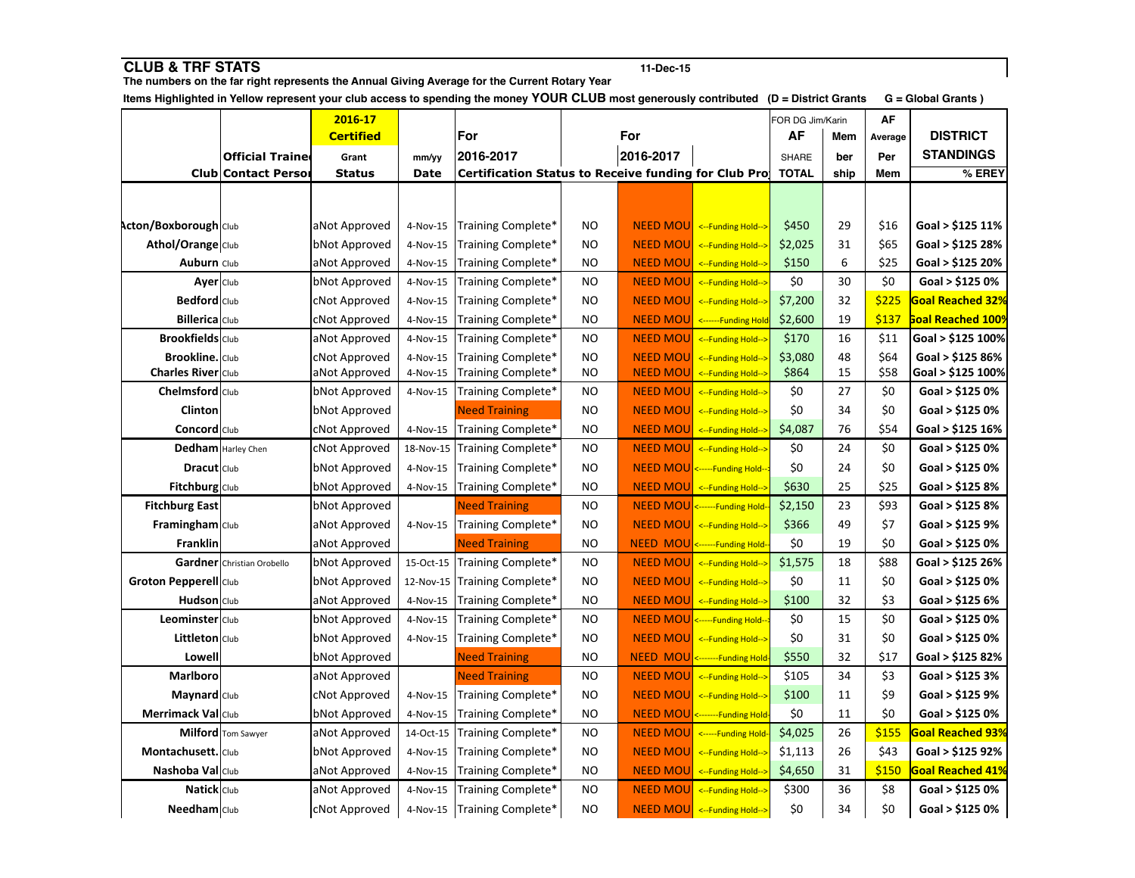| <b>CLUB &amp; TRF STATS</b>                                                                                                                                                                                                              |                            | 11-Dec-15            |            |                                                      |           |                  |                                |                  |                    |         |                          |
|------------------------------------------------------------------------------------------------------------------------------------------------------------------------------------------------------------------------------------------|----------------------------|----------------------|------------|------------------------------------------------------|-----------|------------------|--------------------------------|------------------|--------------------|---------|--------------------------|
| The numbers on the far right represents the Annual Giving Average for the Current Rotary Year<br>Items Highlighted in Yellow represent your club access to spending the money YOUR CLUB most generously contributed (D = District Grants |                            |                      |            |                                                      |           |                  |                                |                  | G = Global Grants) |         |                          |
|                                                                                                                                                                                                                                          |                            | 2016-17              |            |                                                      |           |                  |                                | FOR DG Jim/Karin |                    | AF      |                          |
|                                                                                                                                                                                                                                          |                            | <b>Certified</b>     |            | For                                                  |           | For              |                                | AF               | Mem                | Average | <b>DISTRICT</b>          |
|                                                                                                                                                                                                                                          | <b>Official Traine</b>     | Grant                | mm/yy      | 2016-2017                                            |           | 2016-2017        |                                | SHARE            | ber                | Per     | <b>STANDINGS</b>         |
|                                                                                                                                                                                                                                          | <b>Club Contact Person</b> | <b>Status</b>        | Date       | Certification Status to Receive funding for Club Pro |           |                  |                                | <b>TOTAL</b>     | ship               | Mem     | % EREY                   |
|                                                                                                                                                                                                                                          |                            |                      |            |                                                      |           |                  |                                |                  |                    |         |                          |
|                                                                                                                                                                                                                                          |                            |                      |            |                                                      |           |                  |                                |                  |                    |         |                          |
| <b>Acton/Boxborough Club</b>                                                                                                                                                                                                             |                            | aNot Approved        | 4-Nov-15   | Training Complete*                                   | ΝO        |                  | NEED MOU <--Funding Hold-->    | \$450            | 29                 | \$16    | Goal > \$125 11%         |
| Athol/Orange Club                                                                                                                                                                                                                        |                            | bNot Approved        | 4-Nov-15   | Training Complete*                                   | <b>NO</b> | <b>NEED MOU</b>  | <--Funding Hold-->             | \$2,025          | 31                 | \$65    | Goal > \$125 28%         |
| <b>Auburn Club</b>                                                                                                                                                                                                                       |                            | aNot Approved        | 4-Nov-15   | Training Complete*                                   | NO        |                  | NEED MOU <-- Funding Hold-->   | \$150            | 6                  | \$25    | Goal > \$125 20%         |
| Ayer Club                                                                                                                                                                                                                                |                            | bNot Approved        | 4-Nov-15   | Training Complete*                                   | <b>NO</b> | <b>NEED MOU</b>  | <--Funding Hold-->             | \$0              | 30                 | \$0     | Goal > \$125 0%          |
| <b>Bedford</b> Club                                                                                                                                                                                                                      |                            | cNot Approved        | 4-Nov-15   | Training Complete*                                   | <b>NO</b> | <b>NEED MOUL</b> | <--Funding Hold-->             | \$7,200          | 32                 | \$225   | <b>Goal Reached 32%</b>  |
| <b>Billerica</b> Club                                                                                                                                                                                                                    |                            | cNot Approved        | 4-Nov-15   | Training Complete*                                   | NO        |                  | NEED MOU <------Funding Hold   | \$2,600          | 19                 | \$137   | <b>Boal Reached 1009</b> |
| <b>Brookfields</b> Club                                                                                                                                                                                                                  |                            | aNot Approved        | 4-Nov-15   | Training Complete*                                   | <b>NO</b> | <b>NEED MOU</b>  | <--Funding Hold-->             | \$170            | 16                 | \$11    | Goal > \$125 100%        |
| <b>Brookline.</b> Club                                                                                                                                                                                                                   |                            | <b>cNot Approved</b> | 4-Nov-15   | Training Complete*                                   | <b>NO</b> | <b>NEED MOU</b>  | <--Funding Hold-->             | \$3,080          | 48                 | \$64    | Goal > \$125 86%         |
| Charles River Club                                                                                                                                                                                                                       |                            | aNot Approved        | 4-Nov-15   | Training Complete*                                   | <b>NO</b> | <b>NEED MOU</b>  | <--Funding Hold-->             | \$864            | 15                 | \$58    | Goal > \$125 100%        |
| Chelmsford Club                                                                                                                                                                                                                          |                            | bNot Approved        | 4-Nov-15   | Training Complete*                                   | <b>NO</b> | <b>NEED MOU</b>  | <--Funding Hold-->             | \$0              | 27                 | \$0     | Goal > \$125 0%          |
| Clinton                                                                                                                                                                                                                                  |                            | bNot Approved        |            | <b>Need Training</b>                                 | <b>NO</b> |                  | NEED MOU <-- Funding Hold-->   | \$0              | 34                 | \$0     | Goal > \$125 0%          |
| <b>Concord</b> Club                                                                                                                                                                                                                      |                            | cNot Approved        | 4-Nov-15   | Training Complete*                                   | <b>NO</b> |                  | NEED MOU <-- Funding Hold-->   | \$4,087          | 76                 | \$54    | Goal > \$125 16%         |
|                                                                                                                                                                                                                                          | <b>Dedham</b> Harley Chen  | cNot Approved        | 18-Nov-15  | Training Complete*                                   | <b>NO</b> |                  | NEED MOU <-- Funding Hold-->   | \$0              | 24                 | \$0     | Goal > \$125 0%          |
| <b>Dracut</b> Club                                                                                                                                                                                                                       |                            | bNot Approved        | 4-Nov-15   | Training Complete*                                   | <b>NO</b> |                  | NEED MOU <-----Funding Hold--  | \$0              | 24                 | \$0     | Goal > \$125 0%          |
| Fitchburg Club                                                                                                                                                                                                                           |                            | bNot Approved        | 4-Nov-15   | Training Complete*                                   | NO        |                  | NEED MOU <-- Funding Hold-->   | \$630            | 25                 | \$25    | Goal > \$125 8%          |
| <b>Fitchburg East</b>                                                                                                                                                                                                                    |                            | bNot Approved        |            | <b>Need Training</b>                                 | <b>NO</b> |                  | NEED MOU <------Funding Hold-  | \$2,150          | 23                 | \$93    | Goal > \$125 8%          |
| Framingham Club                                                                                                                                                                                                                          |                            | aNot Approved        | 4-Nov-15   | Training Complete*                                   | <b>NO</b> |                  | NEED MOU <--Funding Hold-->    | \$366            | 49                 | \$7     | Goal > \$125 9%          |
| Franklin                                                                                                                                                                                                                                 |                            | aNot Approved        |            | <b>Need Training</b>                                 | <b>NO</b> |                  | NEED MOU <------Funding Hold-  | \$0              | 19                 | \$0     | Goal > \$125 0%          |
|                                                                                                                                                                                                                                          | Gardner Christian Orobello | bNot Approved        | 15-Oct-15  | Training Complete*                                   | <b>NO</b> |                  | NEED MOU <-- Funding Hold-->   | \$1,575          | 18                 | \$88    | Goal > \$125 26%         |
| <b>Groton Pepperell</b> Club                                                                                                                                                                                                             |                            | bNot Approved        | 12-Nov-15  | Training Complete*                                   | <b>NO</b> |                  | NEED MOU <-- Funding Hold-->   | \$0              | 11                 | \$0     | Goal > \$125 0%          |
| Hudson Club                                                                                                                                                                                                                              |                            | aNot Approved        | 4-Nov-15   | Training Complete*                                   | <b>NO</b> |                  | NEED MOU <-- Funding Hold-->   | \$100            | 32                 | \$3     | Goal > \$125 6%          |
| Leominster   Club                                                                                                                                                                                                                        |                            | bNot Approved        | 4-Nov-15   | Training Complete*                                   | <b>NO</b> |                  | NEED MOU <-----Funding Hold--  | \$0              | 15                 | \$0     | Goal > \$125 0%          |
| Littleton Club                                                                                                                                                                                                                           |                            | bNot Approved        | 4-Nov-15   | Training Complete*                                   | <b>NO</b> |                  | NEED MOU <--Funding Hold-->    | \$0              | 31                 | \$0     | Goal > \$125 0%          |
| Lowell                                                                                                                                                                                                                                   |                            | bNot Approved        |            | <b>Need Training</b>                                 | <b>NO</b> |                  | NEED MOU <-------Funding Hold- | \$550            | 32                 | \$17    | Goal > \$125 82%         |
| <b>Marlboro</b>                                                                                                                                                                                                                          |                            | aNot Approved        |            | <b>Need Training</b>                                 | <b>NO</b> |                  | NEED MOU <-- Funding Hold-->   | \$105            | 34                 | \$3     | Goal > \$125 3%          |
| Maynard Club                                                                                                                                                                                                                             |                            | cNot Approved        | 4-Nov-15   | Training Complete*                                   | <b>NO</b> |                  | NEED MOU <-- Funding Hold-->   | \$100            | 11                 | \$9     | Goal > \$125 9%          |
| Merrimack Val Club                                                                                                                                                                                                                       |                            | bNot Approved        | 4-Nov-15   | Training Complete*                                   | <b>NO</b> |                  | NEED MOU <-------Funding Hold- | \$0              | 11                 | \$0     | Goal > \$125 0%          |
|                                                                                                                                                                                                                                          | Milford Tom Sawyer         | aNot Approved        | 14-Oct-15  | Training Complete*                                   | <b>NO</b> |                  | NEED MOU <-----Funding Hold-   | \$4,025          | 26                 | \$155   | <b>Goal Reached 93%</b>  |
| Montachusett. Club                                                                                                                                                                                                                       |                            | bNot Approved        | 4-Nov-15   | Training Complete*                                   | NO        | <b>NEED MOU</b>  | <--Funding Hold-->             | \$1,113          | 26                 | \$43    | Goal > \$125 92%         |
| Nashoba Val Club                                                                                                                                                                                                                         |                            | aNot Approved        | 4-Nov-15   | Training Complete*                                   | <b>NO</b> |                  | NEED MOU <-- Funding Hold-->   | \$4,650          | 31                 | \$150   | Goal Reached 41%         |
| Natick Club                                                                                                                                                                                                                              |                            | aNot Approved        | $4-Nov-15$ | Training Complete*                                   | <b>NO</b> | <b>NEED MOU</b>  | <--Funding Hold-->             | \$300            | 36                 | \$8     | Goal > \$125 0%          |
| Needham Club                                                                                                                                                                                                                             |                            | cNot Approved        | 4-Nov-15   | Training Complete*                                   | <b>NO</b> |                  | NEED MOU <-- Funding Hold-->   | \$0              | 34                 | \$0     | Goal > \$125 0%          |